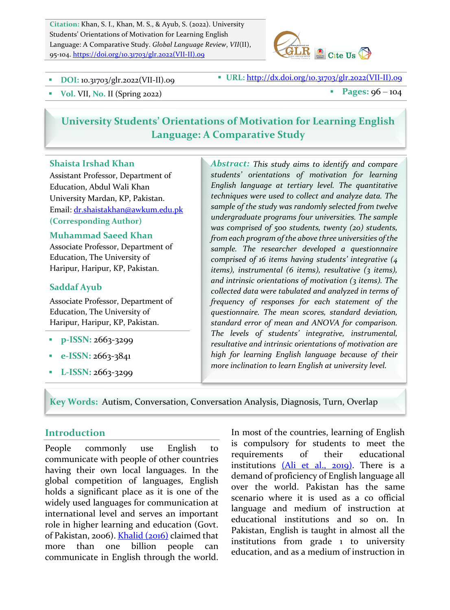Citation: Khan, S. I., Khan, M. S., & Ayub, S. (2022). University Students' Orientations of Motivation for Learning English Language: A Comparative Study. *Global Language Review*, *VII*(II), 95-104. https://doi.org/10.31703/glr.2022(VII-II).09



**DOI:** 10.31703/glr.2022(VII-II).09 **•** URL: http://dx.doi.org/10.31703/glr.2022(VII-II).09

**Vol.** VII, No. II (Spring 2022) **a** Pages:  $96 - 104$ 

# **University Students' Orientations of Motivation for Learning English Language: A Comparative Study**

#### **Shaista Irshad Khan**

Assistant Professor, Department of Education, Abdul Wali Khan University Mardan, KP, Pakistan. Email: dr.shaistakhan@awkum.edu.pk **(Corresponding Author)**

#### **Muhammad Saeed Khan**

Associate Professor, Department of Education, The University of Haripur, Haripur, KP, Pakistan.

#### **Saddaf Ayub**

Associate Professor, Department of Education, The University of Haripur, Haripur, KP, Pakistan.

- § **p-ISSN:** 2663-3299
- § **e-ISSN:** 2663-3841
- § **L-ISSN:** 2663-3299

Abstract: This study aims to *identify* and compare *students' orientations of motivation for learning English language at tertiary level. The quantitative techniques* were used to collect and analyze data. The sample of the study was randomly selected from twelve *undergraduate programs four universities. The sample was comprised of 500 students, twenty (20) students, from each program of the above three universities of the* sample. The researcher developed a questionnaire *comprised of 16 items having students' integrative* (4 *items*), *instrumental* (6 *items*), *resultative* (3 *items*), and intrinsic orientations of motivation (3 items). The *collected data were tabulated and analyzed in terms of frequency of responses for each statement of the questionnaire. The mean scores, standard deviation,*  standard error of mean and ANOVA for comparison. *The levels of students' integrative, instrumental,*  resultative and intrinsic orientations of motivation are high for learning English language because of their *more inclination to learn English at university level.* 

**Key Words:**Autism, Conversation, Conversation Analysis, Diagnosis, Turn, Overlap

### **Introduction**

People commonly use English to communicate with people of other countries having their own local languages. In the global competition of languages, English holds a significant place as it is one of the widely used languages for communication at international level and serves an important role in higher learning and education (Govt. of Pakistan, 2006). Khalid (2016) claimed that more than one billion people can communicate in English through the world.

In most of the countries, learning of English is compulsory for students to meet the requirements of their educational institutions  $(AI)$  et al.,  $2019$ ). There is a demand of proficiency of English language all over the world. Pakistan has the same scenario where it is used as a co official language and medium of instruction at educational institutions and so on. In Pakistan, English is taught in almost all the institutions from grade 1 to university education, and as a medium of instruction in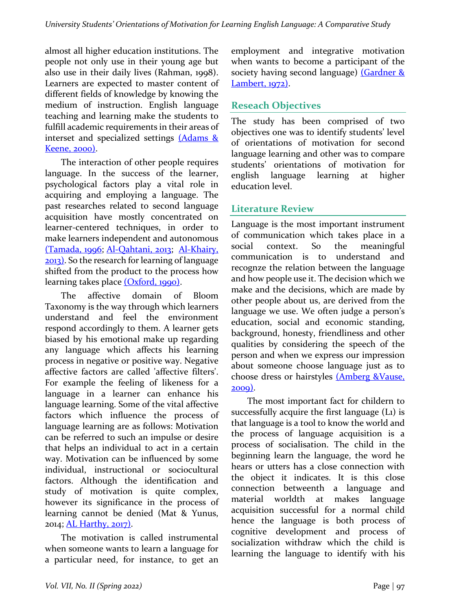almost all higher education institutions. The people not only use in their young age but also use in their daily lives (Rahman, 1998). Learners are expected to master content of different fields of knowledge by knowing the medium of instruction. English language teaching and learning make the students to fulfill academic requirements in their areas of interset and specialized settings  $(Adams &$ Keene, 2000).

The interaction of other people requires language. In the success of the learner, psychological factors play a vital role in acquiring and employing a language. The past researches related to second language acquisition have mostly concentrated on learner-centered techniques, in order to make learners independent and autonomous (Tamada, 1996; Al-Qahtani, 2013; Al-Khairy,  $2013$ ). So the research for learning of language shifted from the product to the process how learning takes place (Oxford, 1990).

The affective domain of Bloom Taxonomy is the way through which learners understand and feel the environment respond accordingly to them. A learner gets biased by his emotional make up regarding any language which affects his learning process in negative or positive way. Negative affective factors are called 'affective filters'. For example the feeling of likeness for a language in a learner can enhance his language learning. Some of the vital affective factors which influence the process of language learning are as follows: Motivation can be referred to such an impulse or desire that helps an individual to act in a certain way. Motivation can be influenced by some individual, instructional or sociocultural factors. Although the identification and study of motivation is quite complex, however its significance in the process of learning cannot be denied (Mat & Yunus, 2014; AL Harthy, 2017).

The motivation is called instrumental when someone wants to learn a language for a particular need, for instance, to get an employment and integrative motivation when wants to become a participant of the society having second language)  $(Gardner \&$ Lambert, 1972).

## **Reseach Objectives**

The study has been comprised of two obiectives one was to identify students' level of orientations of motivation for second language learning and other was to compare students' orientations of motivation for english language learning at higher education level.

## **Literature Review**

Language is the most important instrument of communication which takes place in a social context. So the meaningful communication is to understand and recognze the relation between the language and how people use it. The decision which we make and the decisions, which are made by other people about us, are derived from the language we use. We often judge a person's education, social and economic standing, background, honesty, friendliness and other qualities by considering the speech of the person and when we express our impression about someone choose language just as to choose dress or hairstyles (Amberg &Vause, 2009).

The most important fact for childern to successfully acquire the first language  $(L_1)$  is that language is a tool to know the world and the process of language acquisition is a process of socialisation. The child in the beginning learn the language, the word he hears or utters has a close connection with the object it indicates. It is this close connection betweenth a language and material worldth at makes language acquisition successful for a normal child hence the language is both process of cognitive development and process of socialization withdraw which the child is learning the language to identify with his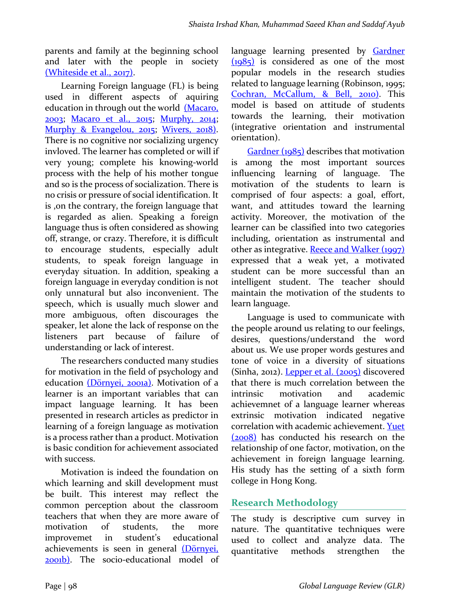parents and family at the beginning school and later with the people in society (Whiteside et al., 2017).

Learning Foreign language (FL) is being used in different aspects of aquiring education in through out the world (Macaro, 2003; Macaro et al., 2015; Murphy, 2014; Murphy & Evangelou, 2015; Wivers, 2018). There is no cognitive nor socializing urgency invloved. The learner has completed or will if very young; complete his knowing-world process with the help of his mother tongue and so is the process of socialization. There is no crisis or pressure of social identification. It is , on the contrary, the foreign language that is regarded as alien. Speaking a foreign language thus is often considered as showing off, strange, or crazy. Therefore, it is difficult to encourage students, especially adult students, to speak foreign language in everyday situation. In addition, speaking a foreign language in everyday condition is not only unnatural but also inconvenient. The speech, which is usually much slower and more ambiguous, often discourages the speaker, let alone the lack of response on the listeners part because of failure of understanding or lack of interest.

The researchers conducted many studies for motivation in the field of psychology and education (Dörnyei, 2001a). Motivation of a learner is an important variables that can impact language learning. It has been presented in research articles as predictor in learning of a foreign language as motivation is a process rather than a product. Motivation is basic condition for achievement associated with success.

Motivation is indeed the foundation on which learning and skill development must be built. This interest may reflect the common perception about the classroom teachers that when they are more aware of motivation of students, the more improvemet in student's educational achievements is seen in general (Dörnyei, 2001b). The socio-educational model of language learning presented by Gardner  $(1985)$  is considered as one of the most popular models in the research studies related to language learning (Robinson, 1995; Cochran, McCallum, & Bell, 2010). This model is based on attitude of students towards the learning, their motivation (integrative orientation and instrumental orientation). 

 $Gardner (1985)$  describes that motivation is among the most important sources influencing learning of language. The motivation of the students to learn is comprised of four aspects: a goal, effort, want, and attitudes toward the learning activity. Moreover, the motivation of the learner can be classified into two categories including, orientation as instrumental and other as integrative. Reece and Walker (1997) expressed that a weak yet, a motivated student can be more successful than an intelligent student. The teacher should maintain the motivation of the students to learn language.

Language is used to communicate with the people around us relating to our feelings, desires, questions/understand the word about us. We use proper words gestures and tone of voice in a diversity of situations  $(Sinha, 2012)$ . Lepper et al.  $(2005)$  discovered that there is much correlation between the intrinsic motivation and academic achievemnet of a language learner whereas extrinsic motivation indicated negative correlation with academic achievement. Yuet  $(2008)$  has conducted his research on the relationship of one factor, motivation, on the achievement in foreign language learning. His study has the setting of a sixth form college in Hong Kong.

## **Research Methodology**

The study is descriptive cum survey in nature. The quantitative techniques were used to collect and analyze data. The quantitative methods strengthen the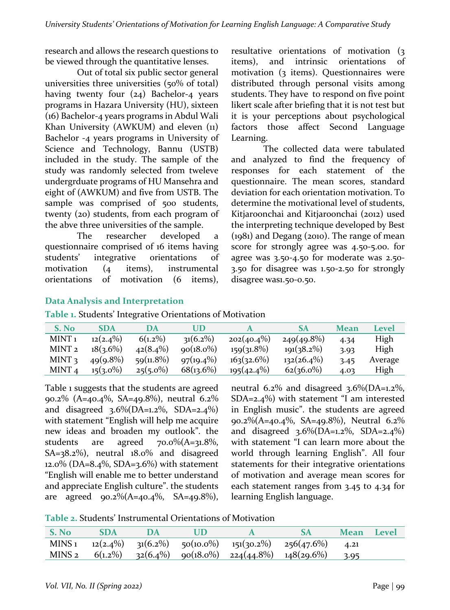research and allows the research questions to be viewed through the quantitative lenses.

Out of total six public sector general universities three universities  $(50\% \text{ of total})$ having twenty four  $(24)$  Bachelor-4 years programs in Hazara University (HU), sixteen (16) Bachelor-4 years programs in Abdul Wali Khan University (AWKUM) and eleven (11) Bachelor -4 years programs in University of Science and Technology, Bannu (USTB) included in the study. The sample of the study was randomly selected from tweleve undergrduate programs of HU Mansehra and eight of (AWKUM) and five from USTB. The sample was comprised of 500 students, twenty  $(20)$  students, from each program of the abve three universities of the sample.

The researcher developed a questionnaire comprised of 16 items having students' integrative orientations of motivation  $(4 \text{ items})$ , instrumental orientations of motivation (6 items), resultative orientations of motivation (3) items), and intrinsic orientations of motivation  $(3 \text{ items})$ . Questionnaires were distributed through personal visits among students. They have to respond on five point likert scale after briefing that it is not test but it is your perceptions about psychological factors those affect Second Language Learning.

The collected data were tabulated and analyzed to find the frequency of responses for each statement of the questionnaire. The mean scores, standard deviation for each orientation motivation. To determine the motivational level of students, Kitjaroonchai and Kitjaroonchai (2012) used the interpreting technique developed by Best  $(1981)$  and Degang  $(2010)$ . The range of mean score for strongly agree was 4.50-5.00. for agree was  $3.50 - 4.50$  for moderate was  $2.50 -$ 3.50 for disagree was 1.50-2.50 for strongly disagree was1.50-0.50.

### **Data Analysis and Interpretation**

| Table 1. Students' Integrative Orientations of Motivation |  |  |  |
|-----------------------------------------------------------|--|--|--|
|-----------------------------------------------------------|--|--|--|

| S. No             | <b>SDA</b>  | DA           | UD            |               | SА            | Mean | Level   |
|-------------------|-------------|--------------|---------------|---------------|---------------|------|---------|
| MINT 1            | $12(2.4\%)$ | $6(1.2\%)$   | $31(6.2\%)$   | $202(40.4\%)$ | $249(49.8\%)$ | 4.34 | High    |
| MINT <sub>2</sub> | $18(3.6\%)$ | $42(8.4\%)$  | $q_0(18.0\%)$ | $159(31.8\%)$ | $191(38.2\%)$ | 3.93 | High    |
| MINT <sub>3</sub> | $49(9.8\%)$ | $59(11.8\%)$ | $97(19.4\%)$  | 163(32.6%)    | $132(26.4\%)$ | 3.45 | Average |
| MINT <sub>4</sub> | $15(3.0\%)$ | $25(5.0\%)$  | 68(13.6%)     | $195(42.4\%)$ | $62(36.0\%)$  | 4.03 | High    |

Table 1 suggests that the students are agreed 90.2% (A=40.4%, SA=49.8%), neutral  $6.2\%$ and disagreed  $3.6\%$  (DA=1.2%, SDA=2.4%) with statement "English will help me acquire new ideas and broaden my outlook". the students are agreed  $70.0\%(A=31.8\%,$  $SA = 38.2\%$ , neutral  $18.0\%$  and disagreed  $12.0\%$  (DA=8.4%, SDA=3.6%) with statement "English will enable me to better understand and appreciate English culture". the students are agreed  $90.2\%(A=40.4\%, SA=49.8\%).$  neutral 6.2% and disagreed 3.6%(DA=1.2%, SDA= $2.4\%$ ) with statement "I am interested in English music". the students are agreed 90.2% (A=40.4%, SA=49.8%), Neutral  $6.2\%$ and disagreed  $3.6\%$  (DA=1.2%, SDA=2.4%) with statement "I can learn more about the world through learning English". All four statements for their integrative orientations of motivation and average mean scores for each statement ranges from  $3.45$  to  $4.34$  for learning English language.

| Table 2. Students' Instrumental Orientations of Motivation |  |
|------------------------------------------------------------|--|
|------------------------------------------------------------|--|

| S. No | <b>SDA</b> |  |                                                                         | <b>Mean</b> Level |  |
|-------|------------|--|-------------------------------------------------------------------------|-------------------|--|
|       |            |  | MINS 1 $12(2.4\%)$ $31(6.2\%)$ $50(10.0\%)$ $151(30.2\%)$ $256(47.6\%)$ | 4.21              |  |
|       |            |  | MINS 2 $6(1.2\%)$ $32(6.4\%)$ $90(18.0\%)$ $224(44.8\%)$ $148(29.6\%)$  | 3.95              |  |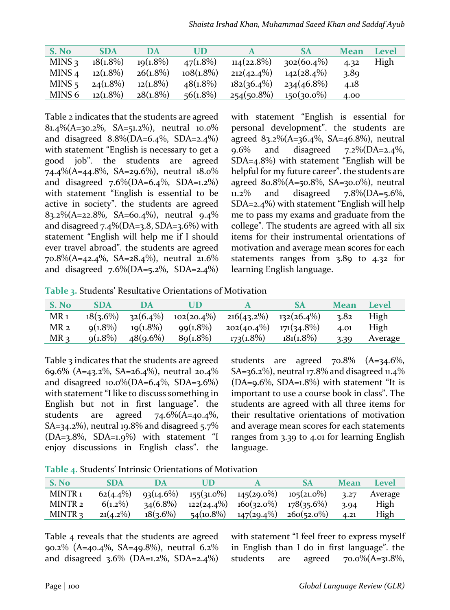| S. No             | <b>SDA</b>  | DA          | UD           |               | SА            | <b>Mean</b> | Level |
|-------------------|-------------|-------------|--------------|---------------|---------------|-------------|-------|
| MINS <sub>3</sub> | $18(1.8\%)$ | $19(1.8\%)$ | $47(1.8\%)$  | $114(22.8\%)$ | $302(60.4\%)$ | 4.32        | High  |
| MINS <sub>4</sub> | $12(1.8\%)$ | $26(1.8\%)$ | $108(1.8\%)$ | $212(42.4\%)$ | $142(28.4\%)$ | 3.89        |       |
| $MINS$ 5          | $24(1.8\%)$ | $12(1.8\%)$ | $48(1.8\%)$  | $182(36.4\%)$ | $234(46.8\%)$ | 4.18        |       |
| MINS 6            | $12(1.8\%)$ | $28(1.8\%)$ | $56(1.8\%)$  | $254(50.8\%)$ | $150(30.0\%)$ | 4.00        |       |

Table 2 indicates that the students are agreed 81.4%(A=30.2%, SA=51.2%), neutral  $10.0\%$ and disagreed  $8.8\%$ (DA=6.4%, SDA=2.4%) with statement "English is necessary to get a good job". the students are agreed 74.4% (A=44.8%, SA=29.6%), neutral  $18.0\%$ and disagreed  $7.6\%$ (DA=6.4%, SDA=1.2%) with statement "English is essential to be active in society". the students are agreed 83.2%(A=22.8%, SA=60.4%), neutral 9.4% and disagreed  $7.4\%$ (DA=3.8, SDA=3.6%) with statement "English will help me if I should ever travel abroad". the students are agreed 70.8%(A=42.4%, SA=28.4%), neutral  $21.6\%$ and disagreed  $7.6\%$ (DA=5.2%, SDA=2.4%) with statement "English is essential for personal development". the students are agreed  $83.2\%(A=36.4\%, SA=46.8\%)$ , neutral 9.6% and disagreed  $7.2\%$ (DA=2.4%, SDA= $4.8\%$ ) with statement "English will be helpful for my future career". the students are agreed  $80.8\%(A=50.8\%$ , SA=30.0%), neutral 11.2% and disagreed  $7.8\%$ (DA=5.6%, SDA=2.4%) with statement "English will help me to pass my exams and graduate from the college". The students are agreed with all six items for their instrumental orientations of motivation and average mean scores for each statements ranges from  $3.89$  to  $4.32$  for learning English language.

Table 3. Students' Resultative Orientations of Motivation

| S. No           | <b>SDA</b>  | DA          | UD          |                                           | <b>SA</b>     | Mean | Level   |
|-----------------|-------------|-------------|-------------|-------------------------------------------|---------------|------|---------|
| MR <sub>1</sub> | $18(3.6\%)$ | $32(6.4\%)$ |             | $102(20.4\%)$ $216(43.2\%)$ $132(26.4\%)$ |               | 3.82 | High    |
| MR 2            | $q(1.8\%)$  | $19(1.8\%)$ | $99(1.8\%)$ | $202(40.4\%)$                             | $171(34.8\%)$ | 4.01 | High    |
| MR <sub>3</sub> | $q(1.8\%)$  | $48(9.6\%)$ | $89(1.8\%)$ | $173(1.8\%)$                              | $181(1.8\%)$  | 3.39 | Average |

Table 3 indicates that the students are agreed 69.6% (A=43.2%, SA=26.4%), neutral  $20.4\%$ and disagreed  $10.0\%$ (DA=6.4%, SDA=3.6%) with statement "I like to discuss something in English but not in first language". the students are agreed  $74.6\%(A=40.4\%)$ SA=34.2%), neutral 19.8% and disagreed  $5.7%$  $(DA=3.8\%, SDA=1.9\%)$  with statement "I enjoy discussions in English class". the 

students are agreed  $70.8\%$  (A=34.6%, SA=36.2%), neutral 17.8% and disagreed 11.4%  $(DA=9.6\%, SDA=1.8\%)$  with statement "It is important to use a course book in class". The students are agreed with all three items for their resultative orientations of motivation and average mean scores for each statements ranges from 3.39 to 4.01 for learning English language.

Table 4. Students' Intrinsic Orientations of Motivation

| S. No.             | <b>SDA</b>  | DА          |                                           |                                                                         | Mean | <b>Level</b> |
|--------------------|-------------|-------------|-------------------------------------------|-------------------------------------------------------------------------|------|--------------|
| MINTR <sub>1</sub> |             |             |                                           | $62(4.4\%)$ $93(14.6\%)$ $155(31.0\%)$ $145(29.0\%)$ $105(21.0\%)$ 3.27 |      | Average      |
| MINTR <sub>2</sub> | $6(1.2\%)$  | $34(6.8\%)$ | $122(24.4\%)$ $160(32.0\%)$ $178(35.6\%)$ |                                                                         | 3.94 | High         |
| MINTR <sub>2</sub> | $21(4.2\%)$ | $18(3.6\%)$ | $54(10.8\%)$ $147(29.4\%)$ $260(52.0\%)$  |                                                                         | 4.21 | High         |

Table 4 reveals that the students are agreed 90.2% (A=40.4%, SA=49.8%), neutral 6.2% and disagreed  $3.6\%$  (DA=1.2%, SDA=2.4%) with statement "I feel freer to express myself in English than I do in first language". the students are agreed  $70.0\%(A=31.8\%$ ,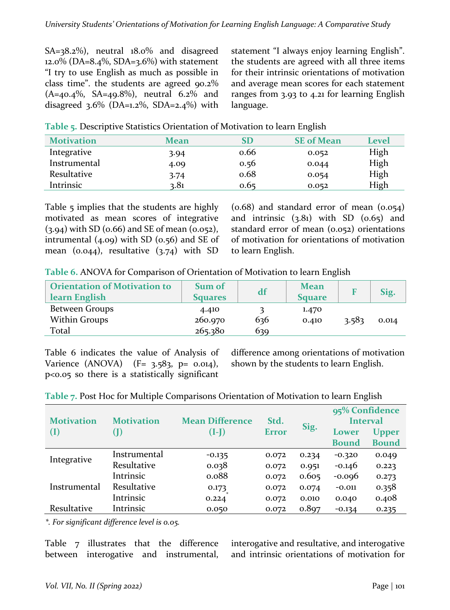$SA = 38.2\%$ , neutral  $18.0\%$  and disagreed  $12.0\%$  (DA=8.4%, SDA=3.6%) with statement "I try to use English as much as possible in class time". the students are agreed  $90.2\%$  $(A=40.4\%, SA=49.8\%), neutral 6.2\% and$ disagreed  $3.6\%$  (DA=1.2%, SDA=2.4%) with statement "I always enjoy learning English". the students are agreed with all three items for their intrinsic orientations of motivation and average mean scores for each statement ranges from  $3.93$  to  $4.21$  for learning English language.

| <b>Motivation</b> | Mean | SD   | <b>SE</b> of Mean | Level |
|-------------------|------|------|-------------------|-------|
| Integrative       | 3.94 | 0.66 | 0.052             | High  |
| Instrumental      | 4.09 | 0.56 | 0.044             | High  |
| Resultative       | 3.74 | 0.68 | 0.054             | High  |
| Intrinsic         | 3.81 | 0.65 | 0.052             | High  |

Table 5. Descriptive Statistics Orientation of Motivation to learn English

Table 5 implies that the students are highly motivated as mean scores of integrative  $(3.94)$  with SD  $(0.66)$  and SE of mean  $(0.052)$ , intrumental  $(4.09)$  with SD  $(0.56)$  and SE of mean  $(0.044)$ , resultative  $(3.74)$  with SD  $(0.68)$  and standard error of mean  $(0.054)$ and intrinsic  $(3.81)$  with SD  $(0.65)$  and standard error of mean  $(0.052)$  orientations of motivation for orientations of motivation to learn English.

| Table 6. ANOVA for Comparison of Orientation of Motivation to learn English |  |  |  |  |  |  |
|-----------------------------------------------------------------------------|--|--|--|--|--|--|
|                                                                             |  |  |  |  |  |  |

| <b>Orientation of Motivation to</b><br>learn English | Sum of<br><b>Squares</b> | df  | <b>Mean</b><br><b>Square</b> | F     | Sig.  |
|------------------------------------------------------|--------------------------|-----|------------------------------|-------|-------|
| Between Groups                                       | 4.410                    |     | 1.470                        |       |       |
| Within Groups                                        | 260.970                  | 636 | 0.410                        | 3.583 | 0.014 |
| Total                                                | 265.380                  | 639 |                              |       |       |

Table 6 indicates the value of Analysis of Varience  $(ANOVA)$   $(F= 3.583, p = 0.014)$ ,  $p$ <0.05 so there is a statistically significant

difference among orientations of motivation shown by the students to learn English.

|                   |                   |                        |              |       | 95% Confidence  |              |  |
|-------------------|-------------------|------------------------|--------------|-------|-----------------|--------------|--|
| <b>Motivation</b> | <b>Motivation</b> | <b>Mean Difference</b> | Std.         |       | <b>Interval</b> |              |  |
| $(\mathrm{I})$    |                   | $(I-I)$                | <b>Error</b> | Sig.  | Lower           | <b>Upper</b> |  |
|                   |                   |                        |              |       | <b>Bound</b>    | <b>Bound</b> |  |
|                   | Instrumental      | $-0.135$               | 0.072        | 0.234 | $-0.320$        | 0.049        |  |
| Integrative       | Resultative       | 0.038                  | 0.072        | 0.951 | $-0.146$        | 0.223        |  |
|                   | Intrinsic         | 0.088                  | 0.072        | 0.605 | $-0.096$        | 0.273        |  |
| Instrumental      | Resultative       | 0.173                  | 0.072        | 0.074 | $-0.011$        | 0.358        |  |
|                   | Intrinsic         | 0.224                  | 0.072        | 0.010 | 0.040           | 0.408        |  |
| Resultative       | Intrinsic         | 0.050                  | 0.072        | 0.897 | $-0.134$        | 0.235        |  |

Table 7. Post Hoc for Multiple Comparisons Orientation of Motivation to learn English

*\*. For significant difference level is 0.05.*

Table  $7$  illustrates that the difference between interogative and instrumental, interogative and resultative, and interogative and intrinsic orientations of motivation for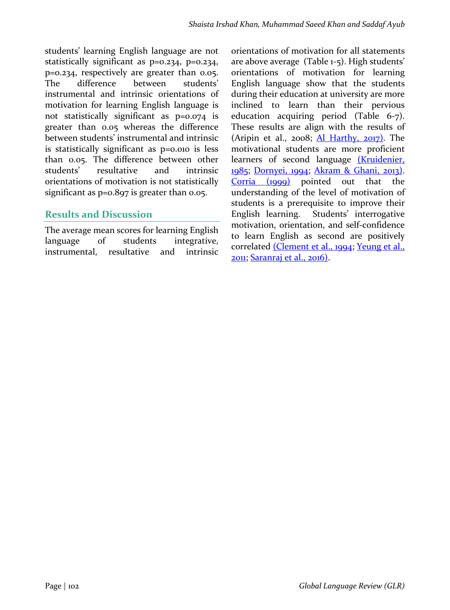students' learning English language are not statistically significant as p=0.234, p=0.234,  $p=0.234$ , respectively are greater than  $0.05$ . The difference between students' instrumental and intrinsic orientations of motivation for learning English language is not statistically significant as p=0.074 is greater than 0.05 whereas the difference between students' instrumental and intrinsic is statistically significant as  $p=0.010$  is less than 0.05. The difference between other students' resultative and intrinsic orientations of motivation is not statistically significant as  $p=0.897$  is greater than 0.05.

### **Results and Discussion**

The average mean scores for learning English language of students integrative, instrumental, resultative and intrinsic orientations of motivation for all statements are above average  $(Table 1-5)$ . High students' orientations of motivation for learning English language show that the students during their education at university are more inclined to learn than their pervious education acquiring period (Table 6-7). These results are align with the results of (Aripin et al.,  $2008$ ; Al Harthy,  $2017$ ). The motivational students are more proficient learners of second language (Kruidenier, 1985; Dornyei, 1994; Akram & Ghani, 2013).  $Corria$   $(1999)$  pointed out that the understanding of the level of motivation of students is a prerequisite to improve their English learning. Students' interrogative motivation, orientation, and self-confidence to learn English as second are positively correlated (Clement et al., 1994; Yeung et al., 2011; Saranraj et al., 2016).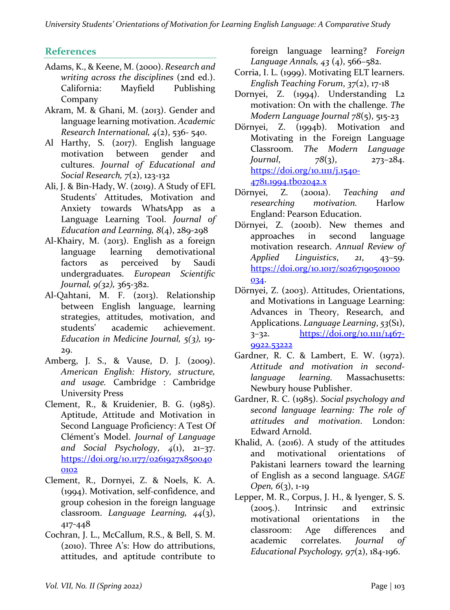## **References**

- Adams, K., & Keene, M. (2000). *Research and writing across the disciplines* (2nd ed.). California: Mayfield Publishing Company
- Akram, M. & Ghani, M. (2013). Gender and language learning motivation. *Academic Research International, 4(2), 536- 540.*
- Al Harthy, S.  $(2017)$ . English language motivation between gender and cultures. *Journal of Educational and Social Research, 7*(2), 123-132
- Ali, J. & Bin-Hady, W. (2019). A Study of EFL Students' Attitudes, Motivation and Anxiety towards WhatsApp as a Language Learning Tool. *Journal of Education and Learning,*  $8(4)$ , 289-298
- Al-Khairy, M.  $(2013)$ . English as a foreign language learning demotivational factors as perceived by Saudi undergraduates. *European Scientific Journal, 9(32),* 365-382.
- Al-Qahtani, M. F. (2013). Relationship between English language, learning strategies, attitudes, motivation, and students' academic achievement. *Education in Medicine Journal, 5(3), 19-*29.
- Amberg, J. S., & Vause, D. J. (2009). *American English: History, structure, and usage.* Cambridge : Cambridge University Press
- Clement, R., & Kruidenier, B. G. (1985). Aptitude, Attitude and Motivation in Second Language Proficiency: A Test Of Clément's Model. *Journal of Language and Social Psychology*, *4*(1), 21–37. https://doi.org/10.1177/0261927x850040 0102
- Clement, R., Dornyei, Z. & Noels, K. A. (1994). Motivation, self-confidence, and group cohesion in the foreign language classroom. *Language Learning, 44*(3), 417-448
- Cochran, J. L., McCallum, R.S., & Bell, S. M.  $(2010)$ . Three A's: How do attributions, attitudes, and aptitude contribute to

foreign language learning? *Foreign Language Annals, 43* (4), 566–582.

- Corria, I. L. (1999). Motivating ELT learners. *English Teaching Forum, 37(2), 17-18*
- Dornyei, Z. (1994). Understanding L2 motivation: On with the challenge. *The Modern Language Journal*  $78(5)$ , 515-23
- Dörnyei, Z. (1994b). Motivation and Motivating in the Foreign Language Classroom. *The Modern Language Journal*, *78*(3), 273–284. https://doi.org/10.1111/j.1540- 4781.1994.tb02042.x
- Dörnyei, Z. (2001a). Teaching and *researching motivation.* Harlow England: Pearson Education.
- Dörnyei, Z. (2001b). New themes and approaches in second language motivation research. Annual Review of *Applied Linguistics*, *21*, 43–59. https://doi.org/10.1017/s0267190501000 034.
- Dörnyei, Z. (2003). Attitudes, Orientations, and Motivations in Language Learning: Advances in Theory, Research, and Applications. *Language Learning*, 53(S1), 3–32. https://doi.org/10.1111/1467- 9922.53222
- Gardner, R. C. & Lambert, E. W.  $(1972)$ . *Attitude and motivation in secondlanguage learning.*  Massachusetts: Newbury house Publisher.
- Gardner, R. C. (1985). *Social psychology and second language learning: The role of attitudes and motivation*. London: Edward Arnold.
- Khalid, A. (2016). A study of the attitudes and motivational orientations of Pakistani learners toward the learning of English as a second language. *SAGE Open,* 6(3), 1-19
- Lepper, M. R., Corpus, J. H., & Iyenger, S. S. (2005.). Intrinsic and extrinsic motivational orientations in the classroom: Age differences and academic correlates. *Journal* of *Educational Psychology, 97(2), 184-196.*